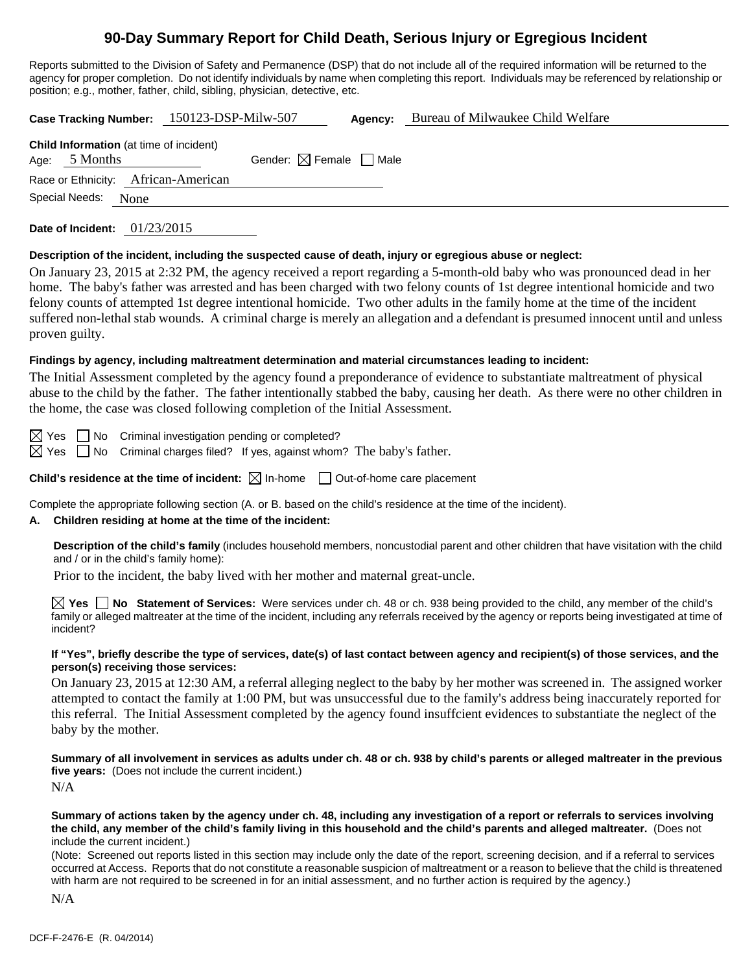# **90-Day Summary Report for Child Death, Serious Injury or Egregious Incident**

Reports submitted to the Division of Safety and Permanence (DSP) that do not include all of the required information will be returned to the agency for proper completion. Do not identify individuals by name when completing this report. Individuals may be referenced by relationship or position; e.g., mother, father, child, sibling, physician, detective, etc.

**Case Tracking Number:** 150123-DSP-Milw-507 **Agency:** Bureau of Milwaukee Child Welfare **Child Information** (at time of incident) Age:  $5$  Months Gender:  $\boxtimes$  Female  $\Box$  Male Race or Ethnicity: African-American Special Needs: None **Date of Incident:** 01/23/2015 **Description of the incident, including the suspected cause of death, injury or egregious abuse or neglect:** 

On January 23, 2015 at 2:32 PM, the agency received a report regarding a 5-month-old baby who was pronounced dead in her home. The baby's father was arrested and has been charged with two felony counts of 1st degree intentional homicide and two felony counts of attempted 1st degree intentional homicide. Two other adults in the family home at the time of the incident suffered non-lethal stab wounds. A criminal charge is merely an allegation and a defendant is presumed innocent until and unless proven guilty.

### **Findings by agency, including maltreatment determination and material circumstances leading to incident:**

The Initial Assessment completed by the agency found a preponderance of evidence to substantiate maltreatment of physical abuse to the child by the father. The father intentionally stabbed the baby, causing her death. As there were no other children in the home, the case was closed following completion of the Initial Assessment.

 $\boxtimes$  Yes  $\Box$  No Criminal investigation pending or completed?

 $\boxtimes$  Yes  $\Box$  No Criminal charges filed? If yes, against whom? The baby's father.

**Child's residence at the time of incident:**  $\boxtimes$  In-home  $\Box$  Out-of-home care placement

Complete the appropriate following section (A. or B. based on the child's residence at the time of the incident).

#### **A. Children residing at home at the time of the incident:**

**Description of the child's family** (includes household members, noncustodial parent and other children that have visitation with the child and / or in the child's family home):

Prior to the incident, the baby lived with her mother and maternal great-uncle.

**Yes No Statement of Services:** Were services under ch. 48 or ch. 938 being provided to the child, any member of the child's family or alleged maltreater at the time of the incident, including any referrals received by the agency or reports being investigated at time of incident?

#### **If "Yes", briefly describe the type of services, date(s) of last contact between agency and recipient(s) of those services, and the person(s) receiving those services:**

On January 23, 2015 at 12:30 AM, a referral alleging neglect to the baby by her mother was screened in. The assigned worker attempted to contact the family at 1:00 PM, but was unsuccessful due to the family's address being inaccurately reported for this referral. The Initial Assessment completed by the agency found insuffcient evidences to substantiate the neglect of the baby by the mother.

**Summary of all involvement in services as adults under ch. 48 or ch. 938 by child's parents or alleged maltreater in the previous five years:** (Does not include the current incident.) N/A

#### **Summary of actions taken by the agency under ch. 48, including any investigation of a report or referrals to services involving the child, any member of the child's family living in this household and the child's parents and alleged maltreater.** (Does not include the current incident.)

(Note: Screened out reports listed in this section may include only the date of the report, screening decision, and if a referral to services occurred at Access. Reports that do not constitute a reasonable suspicion of maltreatment or a reason to believe that the child is threatened with harm are not required to be screened in for an initial assessment, and no further action is required by the agency.)

N/A